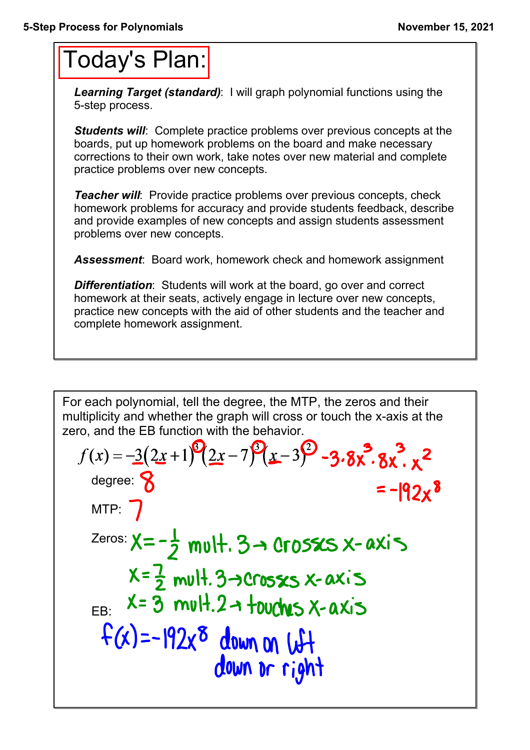## Today's Plan:

*Learning Target (standard)*: I will graph polynomial functions using the 5-step process.

**Students will:** Complete practice problems over previous concepts at the boards, put up homework problems on the board and make necessary corrections to their own work, take notes over new material and complete practice problems over new concepts.

*Teacher will:* Provide practice problems over previous concepts, check homework problems for accuracy and provide students feedback, describe and provide examples of new concepts and assign students assessment problems over new concepts.

*Assessment*: Board work, homework check and homework assignment

*Differentiation*: Students will work at the board, go over and correct homework at their seats, actively engage in lecture over new concepts, practice new concepts with the aid of other students and the teacher and complete homework assignment.

For each polynomial, tell the degree, the MTP, the zeros and their multiplicity and whether the graph will cross or touch the x-axis at the zero, and the EB function with the behavior.

$$
f(x) = -3(2x+1)^{9}(2x-7)^{9}(x-3)^{9}-3.8x^{3}\cdot 8x^{2}
$$
\n
$$
f(x) = -12x^{8}
$$
\n
$$
MTP: 7
$$
\n
$$
Zeros: X = -\frac{1}{2} \text{ mult. } 3 \rightarrow \text{Crosss } x-\text{ axis}
$$
\n
$$
X = \frac{7}{2} \text{ mult. } 3 \rightarrow \text{Crosss } x-\text{ axis}
$$
\n
$$
X = \frac{7}{2} \text{ mult. } 2 \rightarrow \text{ towards } x-\text{ axis}
$$
\n
$$
f(x) = -192x^{8}
$$
\n
$$
down on \text{ with } d
$$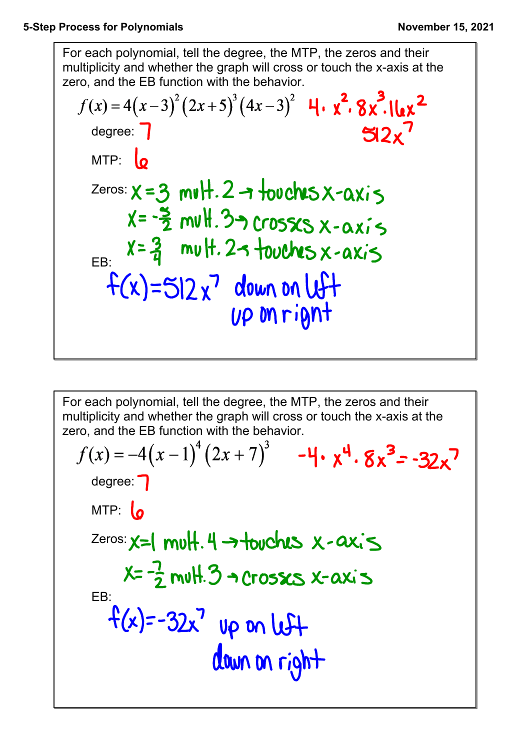For each polynomial, tell the degree, the MTP, the zeros and their multiplicity and whether the graph will cross or touch the x-axis at the zero, and the EB function with the behavior.

$$
f(x) = 4(x-3)^{2} (2x+5)^{3} (4x-3)^{2} 4 \cdot x^{2} \cdot 8x^{3} \cdot 16x^{2}
$$
  
\ndegree: 7  
\nMTP: 6  
\nZeros:  $x = 3$  mvlH. 2 → 1-2000000 x-axis  
\n $x = -\frac{5}{2}$  mvlH. 3 → 000000 x-axis  
\n $x = \frac{2}{4}$  mvlH. 2 → 1-200000 x-axis  
\n $x = \frac{2}{4}$  mvlH. 2 → 1-200000 x-axis  
\n $f(x) = 512x^{7}$  down on 10000  
\n*up* mriQnH

For each polynomial, tell the degree, the MTP, the zeros and their multiplicity and whether the graph will cross or touch the x-axis at the zero, and the EB function with the behavior.

$$
f(x) = -4(x-1)^{4} (2x+7)^{3}
$$
 -4.  $x^{4}$  · 8 $x^{3}$  -32 $x^{7}$   
degree: 7  
MTP: **6**  
Zeros:  $x=1$  muH. 4 →+buchus x-ax is  
 $x=-\frac{7}{2}$  muH. 3 → Crosss x-ax is  
EB:  
 $f(x)=-32x^{7}$  up on left  
down on right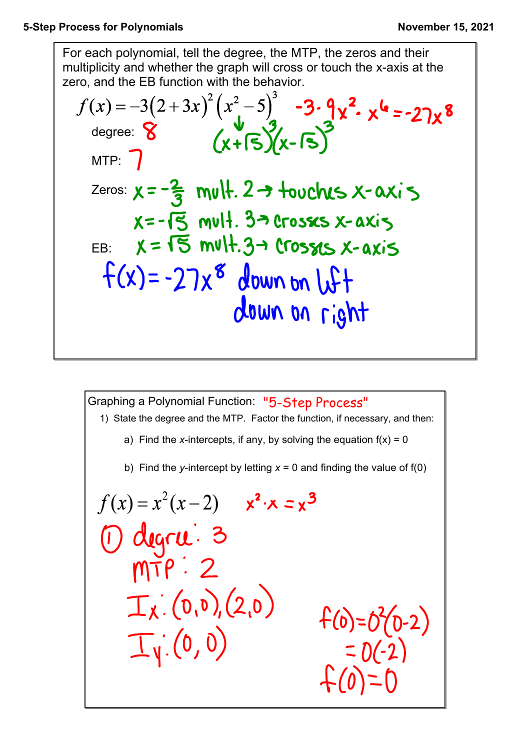For each polynomial, tell the degree, the MTP, the zeros and their multiplicity and whether the graph will cross or touch the x-axis at the zero, and the EB function with the behavior.

$$
f(x) = -3(2+3x)^{2}(x^{2}-5)^{3}-3\cdot 9x^{2} \cdot x^{4}=-27x^{8}
$$
\ndegree: 8  
\n
$$
(x+15)(x-15)^{3}
$$
\n
$$
x=-\frac{2}{3} \text{ m}v+2 \rightarrow \text{t}v\text{c}b+3 \rightarrow \text{c}v\text{-}ax+3
$$
\n
$$
x=-15 \text{ m}v+3 \rightarrow \text{c}v\text{-}ax+3
$$
\nEB:  $x = 15 \text{ m}v+3 \rightarrow \text{c}v\text{-}ax+3$   
\n
$$
f(x) = -27x^{8} \text{ down on } u+f
$$
\ndown on right

Graphing a Polynomial Function: "5-Step Process"  
\n1) State the degree and the MTP. Factor the function, if necessary, and then:  
\na) Find the x-intercepts, if any, by solving the equation 
$$
f(x) = 0
$$
  
\nb) Find the y-intercept by letting  $x = 0$  and finding the value of  $f(0)$   
\n $f(x) = x^2(x-2)$   $x^2 \cdot x = x^3$   
\n $f(x) = x^2(x-2)$   $x^2 \cdot x = x^3$   
\n $f(x) = x^2(x-2)$   $x^2 \cdot x = x^3$   
\n $f(x) = x^2(x-2)$   $x^2 \cdot x = x^3$   
\n $f(x) = x^2(0-2)$   
\n $f(x) = x^2(0-2)$   
\n $f(x) = x^2(0-2)$   
\n $f(x) = x^2(0-2)$   
\n $f(x) = x^2(0-2)$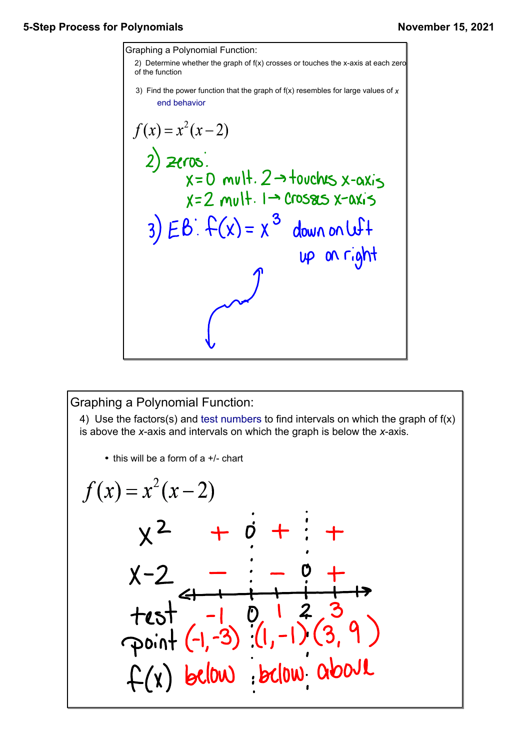

Graphing a Polynomial Function:

4) Use the factors(s) and test numbers to find intervals on which the graph of f(x) is above the *x*-axis and intervals on which the graph is below the *x*-axis.

• this will be a form of a  $+/-$  chart

$$
f(x) = x^{2}(x-2)
$$
\n
$$
x^{2} + 6 + \frac{1}{2} + \frac{1}{2} + \frac{1}{2} + \frac{1}{2} + \frac{1}{2} + \frac{1}{2} + \frac{1}{2} + \frac{1}{2} + \frac{1}{2} + \frac{1}{2} + \frac{1}{2} + \frac{1}{2} + \frac{1}{2} + \frac{1}{2} + \frac{1}{2} + \frac{1}{2} + \frac{1}{2} + \frac{1}{2} + \frac{1}{2} + \frac{1}{2} + \frac{1}{2} + \frac{1}{2} + \frac{1}{2} + \frac{1}{2} + \frac{1}{2} + \frac{1}{2} + \frac{1}{2} + \frac{1}{2} + \frac{1}{2} + \frac{1}{2} + \frac{1}{2} + \frac{1}{2} + \frac{1}{2} + \frac{1}{2} + \frac{1}{2} + \frac{1}{2} + \frac{1}{2} + \frac{1}{2} + \frac{1}{2} + \frac{1}{2} + \frac{1}{2} + \frac{1}{2} + \frac{1}{2} + \frac{1}{2} + \frac{1}{2} + \frac{1}{2} + \frac{1}{2} + \frac{1}{2} + \frac{1}{2} + \frac{1}{2} + \frac{1}{2} + \frac{1}{2} + \frac{1}{2} + \frac{1}{2} + \frac{1}{2} + \frac{1}{2} + \frac{1}{2} + \frac{1}{2} + \frac{1}{2} + \frac{1}{2} + \frac{1}{2} + \frac{1}{2} + \frac{1}{2} + \frac{1}{2} + \frac{1}{2} + \frac{1}{2} + \frac{1}{2} + \frac{1}{2} + \frac{1}{2} + \frac{1}{2} + \frac{1}{2} + \frac{1}{2} + \frac{1}{2} + \frac{1}{2} + \frac{1}{2} + \frac{1}{2} + \frac{1}{2} + \frac{1}{2} + \frac{1}{2} + \frac{1}{2} + \frac{1}{2} + \frac{1}{2} + \frac{1}{2} + \frac{1}{2} + \frac{1}{2} + \frac{1}{2} + \frac{1}{2} + \frac{1}{2} + \frac{1}{2} + \frac{1}{2} + \frac{1}{2} + \frac
$$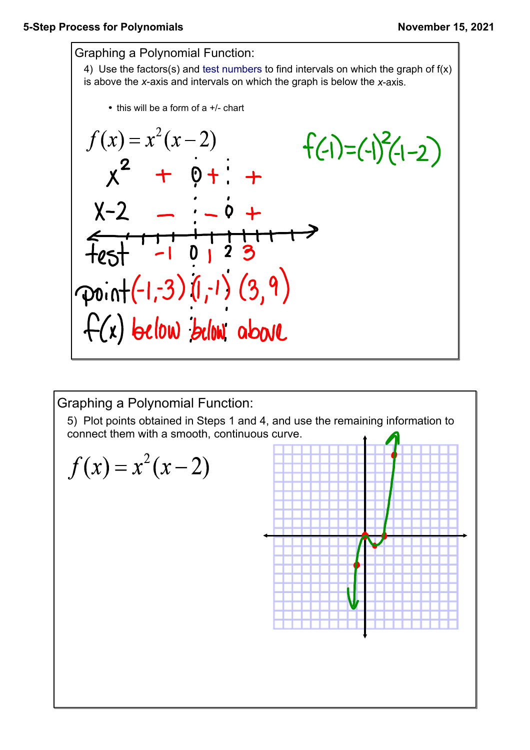

Graphing a Polynomial Function:

5) Plot points obtained in Steps 1 and 4, and use the remaining information to connect them with a smooth, continuous curve. $\ddot{\textbf{t}}$ 

$$
f(x) = x^2(x-2)
$$